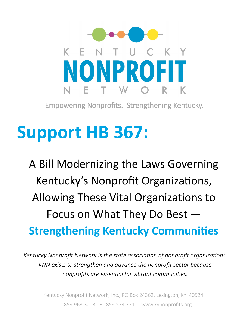

Empowering Nonprofits. Strengthening Kentucky.

# **Support HB 367:**

A Bill Modernizing the Laws Governing Kentucky's Nonprofit Organizations, Allowing These Vital Organizations to Focus on What They Do Best — **Strengthening Kentucky Communities** 

*Kentucky Nonprofit Network is the state association of nonprofit organizations. KNN exists to strengthen and advance the nonprofit sector because nonprofits are essential for vibrant communities.*

Kentucky Nonprofit Network, Inc., PO Box 24362, Lexington, KY 40524 T: 859.963.3203 F: 859.534.3310 www.kynonprofits.org